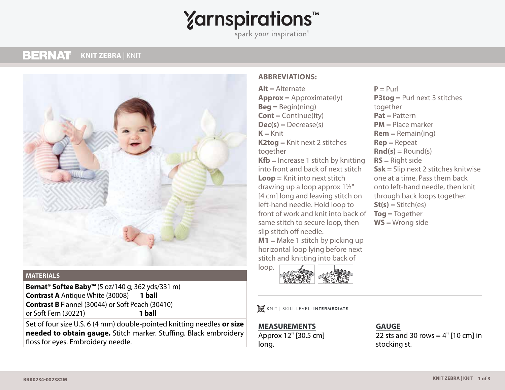# **Yarnspirations<sup>\*</sup>**

spark your inspiration!

#### **BERNAT KNIT ZEBRA** | KNIT **KNIT ZEBRA** | KNIT



#### **MATERIALS**

**Bernat® Softee Baby™** (5 oz/140 g; 362 yds/331 m) **Contrast A** Antique White (30008) **1 ball Contrast B** Flannel (30044) or Soft Peach (30410) or Soft Fern (30221) **1 ball**

Set of four size U.S. 6 (4 mm) double-pointed knitting needles **or size needed to obtain gauge.** Stitch marker. Stuffing. Black embroidery floss for eyes. Embroidery needle.

#### **ABBREVIATIONS:**

**Alt** = Alternate **Approx** = Approximate(ly) **Beg** = Begin(ning) **Cont** = Continue(ity)  $Dec(s) = Decrease(s)$  $K = Knit$ **K2tog** = Knit next 2 stitches together **Kfb** = Increase 1 stitch by knitting into front and back of next stitch **Loop** = Knit into next stitch drawing up a loop approx 1½" [4 cm] long and leaving stitch on left-hand needle. Hold loop to front of work and knit into back of same stitch to secure loop, then slip stitch off needle.

**M1** = Make 1 stitch by picking up horizontal loop lying before next stitch and knitting into back of



KNIT **|** SKILL LEVEL: **INTERMEDIATE**

**MEASUREMENTS** Approx 12" [30.5 cm] long.

 $P = Purl$ **P3tog** = Purl next 3 stitches together **Pat** = Pattern **PM** = Place marker  $Rem = Remain(ing)$ **Rep** = Repeat  $\text{Rnd}(s) =$  Round(s) **RS** = Right side **Ssk** = Slip next 2 stitches knitwise one at a time. Pass them back onto left-hand needle, then knit through back loops together.  $St(s) = Stitch(es)$ **Tog** = Together **WS** = Wrong side

### **GAUGE**

22 sts and 30 rows  $=$  4"  $[10 \text{ cm}]$  in stocking st.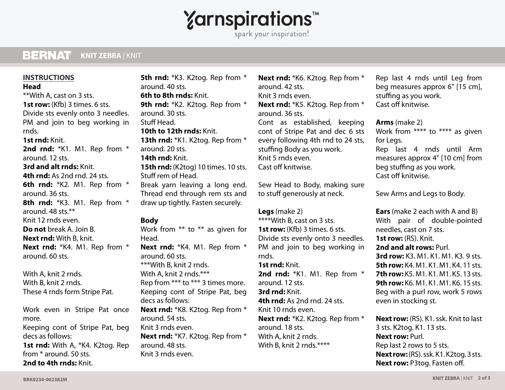# **Yarnspirations<sup>\*</sup>**

spark your inspiration!

#### **BERNAT KNIT ZEBRA** | KNIT **KNIT ZEBRA** | KNIT

## **INSTRUCTIONS**

#### **Head**

\*\*With A, cast on 3 sts. **1st row:** (Kfb) 3 times. 6 sts. Divide sts evenly onto 3 needles. PM and join to beg working in rnds. **1st rnd:** Knit. **2nd rnd:** \*K1. M1. Rep from \* around. 12 sts. **3rd and alt rnds:** Knit. **4th rnd:** As 2nd rnd. 24 sts. **6th rnd:** \*K2. M1. Rep from \* around. 36 sts. **8th rnd:** \*K3. M1. Rep from \* around. 48 sts.\*\* Knit 12 rnds even. **Do not** break A. Join B. **Next rnd:** With B, knit. **Next rnd:** \*K4. M1. Rep from \* around. 60 sts.

With A, knit 2 rnds. With B, knit 2 rnds. These 4 rnds form Stripe Pat.

Work even in Stripe Pat once more.

Keeping cont of Stripe Pat, beg decs as follows: **1st rnd:** With A, \*K4. K2tog. Rep from \* around. 50 sts.

**5th rnd:** \*K3. K2tog. Rep from \* around. 40 sts. **6th to 8th rnds:** Knit. 9th rnd: \*K2. K2tog. Rep from \* around. 30 sts. Stuff Head. **10th to 12th rnds:** Knit. 13th rnd: \*K1. K2tog. Rep from \* around. 20 sts. **14th rnd:** Knit. **15th rnd:** (K2tog) 10 times. 10 sts. Stuff rem of Head. Break yarn leaving a long end. Thread end through rem sts and draw up tightly. Fasten securely. **Body** Work from \*\* to \*\* as given for Head. **Next rnd:** \*K4. M1. Rep from \* around. 60 sts. \*\*\*With B, knit 2 rnds. With A, knit 2 rnds.\*\*\* Rep from \*\*\* to \*\*\* 3 times more. Keeping cont of Stripe Pat, beg decs as follows: **Next rnd:** \*K8. K2tog. Rep from \* around. 54 sts. Knit 3 rnds even. **Next rnd:** \*K7. K2tog. Rep from \* around. 48 sts. Knit 3 rnds even.

**Next rnd:** \*K6. K2tog. Rep from \* around. 42 sts. Knit 3 rnds even. **Next rnd:** \*K5. K2tog. Rep from \* around. 36 sts. Cont as established, keeping cont of Stripe Pat and dec 6 sts every following 4th rnd to 24 sts, stuffing Body as you work. Knit 5 rnds even. Cast off knitwise.

Sew Head to Body, making sure to stuff generously at neck.

#### **Legs** (make 2)

\*\*\*\*With B, cast on 3 sts. **1st row:** (Kfb) 3 times. 6 sts. Divide sts evenly onto 3 needles. PM and join to beg working in rnds. **1st rnd:** Knit. **2nd rnd:** \*K1. M1. Rep from \* around. 12 sts. **3rd rnd:** Knit. **4th rnd:** As 2nd rnd. 24 sts. Knit 10 rnds even. **Next rnd:** \*K2. K2tog. Rep from \* around. 18 sts. With A, knit 2 rnds.

With B, knit 2 rnds.\*\*\*\*

Rep last 4 rnds until Leg from beg measures approx 6" [15 cm], stuffing as you work. Cast off knitwise.

**Arms** (make 2) Work from \*\*\*\* to \*\*\*\* as given for Legs. Rep last 4 rnds until Arm measures approx 4" [10 cm] from beg stuffing as you work. Cast off knitwise.

Sew Arms and Legs to Body.

**Ears** (make 2 each with A and B) With pair of double-pointed needles, cast on 7 sts. **1st row: (RS). Knit. 2nd and alt rows:** Purl. **3rd row:** K3. M1. K1. M1. K3. 9 sts. **5th row:** K4. M1. K1. M1. K4. 11 sts. **7th row:** K5. M1. K1. M1. K5. 13 sts. **9th row:** K6. M1. K1. M1. K6. 15 sts. Beg with a purl row, work 5 rows even in stocking st.

**Next row:** (RS). K1. ssk. Knit to last 3 sts. K2tog. K1. 13 sts. **Next row:** Purl. Rep last 2 rows to 5 sts. **Next row:** (RS). ssk. K1. K2tog. 3 sts. **Next row:** P3tog. Fasten off.

**2nd to 4th rnds:** Knit.